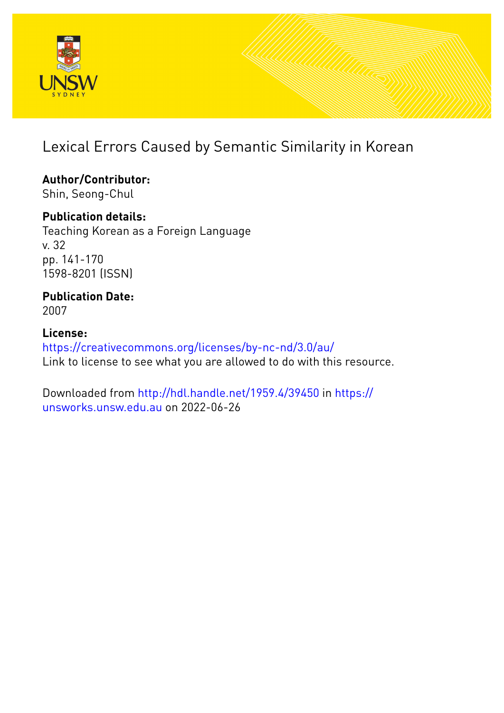

# Lexical Errors Caused by Semantic Similarity in Korean

**Author/Contributor:** Shin, Seong-Chul

**Publication details:**

Teaching Korean as a Foreign Language v. 32 pp. 141-170 1598-8201 (ISSN)

**Publication Date:** 2007

**License:** <https://creativecommons.org/licenses/by-nc-nd/3.0/au/> Link to license to see what you are allowed to do with this resource.

Downloaded from <http://hdl.handle.net/1959.4/39450> in [https://](https://unsworks.unsw.edu.au) [unsworks.unsw.edu.au](https://unsworks.unsw.edu.au) on 2022-06-26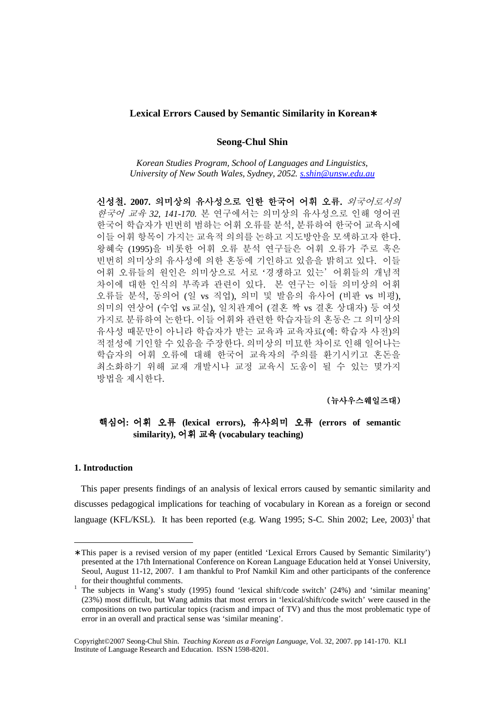#### **Lexical Errors Caused by Semantic Similarity in Korean**∗

#### **Seong-Chul Shin**

*Korean Studies Program, School of Languages and Linguistics, University of New South Wales, Sydney, 2052. s.shin@unsw.edu.au*

신성철**. 2007.** 의미상의 유사성으로 인한 한국어 어휘 오류**.** 외국어로서의 한국어 교육 *32, 141-170.* 본 연구에서는 의미상의 유사성으로 인해 영어권 한국어 학습자가 빈번히 범하는 어휘 오류를 분석, 분류하여 한국어 교육시에 이들 어휘 항목이 가지는 교육적 의의를 논하고 지도방안을 모색하고자 한다. 왕혜숙 (1995)을 비롯한 어휘 오류 분석 연구들은 어휘 오류가 주로 혹은 빈번히 의미상의 유사성에 의한 혼동에 기인하고 있음을 밝히고 있다. 이들 어휘 오류들의 원인은 의미상으로 서로 '경쟁하고 있는'어휘들의 개념적 차이에 대한 인식의 부족과 관련이 있다. 본 연구는 이들 의미상의 어휘 오류들 분석, 동의어 (일 vs 직업), 의미 및 발음의 유사어 (비판 vs 비평), 의미의 연상어 (수업 vs 교실), 일치관계어 (결혼 짝 vs 결혼 상대자) 등 여섯 가지로 분류하여 논한다. 이들 어휘와 관련한 학습자들의 혼동은 그 의미상의 유사성 때문만이 아니라 학습자가 받는 교육과 교육자료(예: 학습자 사전)의 적절성에 기인할 수 있음을 주장한다. 의미상의 미묘한 차이로 인해 일어나는 학습자의 어휘 오류에 대해 한국어 교육자의 주의를 환기시키고 혼돈을 최소화하기 위해 교재 개발시나 교정 교육시 도움이 될 수 있는 몇가지 방법을 제시한다.

## (뉴사우스웨일즈대)

## 핵심어**:** 어휘 오류 **(lexical errors),** 유사의미 오류 **(errors of semantic similarity),** 어휘 교육 **(vocabulary teaching)**

#### **1. Introduction**

-

 This paper presents findings of an analysis of lexical errors caused by semantic similarity and discusses pedagogical implications for teaching of vocabulary in Korean as a foreign or second language (KFL/KSL). It has been reported (e.g. Wang 1995; S-C. Shin 2002; Lee, 2003)<sup>1</sup> that

<sup>∗</sup> This paper is a revised version of my paper (entitled 'Lexical Errors Caused by Semantic Similarity') presented at the 17th International Conference on Korean Language Education held at Yonsei University, Seoul, August 11-12, 2007. I am thankful to Prof Namkil Kim and other participants of the conference for their thoughtful comments.

<sup>&</sup>lt;sup>1</sup> The subjects in Wang's study (1995) found 'lexical shift/code switch' (24%) and 'similar meaning' (23%) most difficult, but Wang admits that most errors in 'lexical/shift/code switch' were caused in the compositions on two particular topics (racism and impact of TV) and thus the most problematic type of error in an overall and practical sense was 'similar meaning'.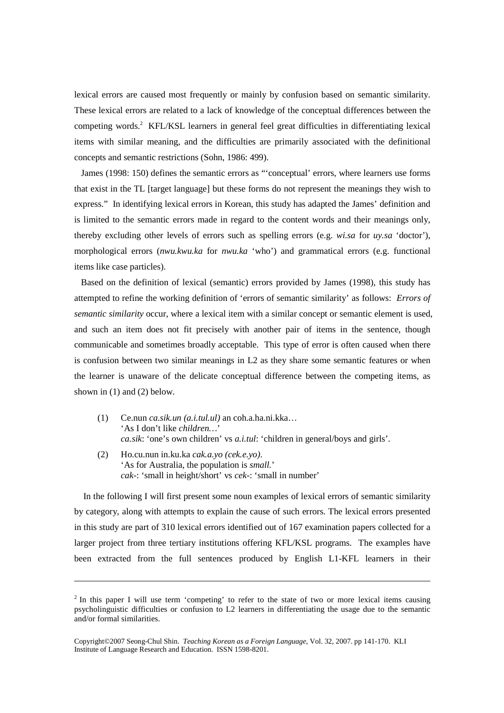lexical errors are caused most frequently or mainly by confusion based on semantic similarity. These lexical errors are related to a lack of knowledge of the conceptual differences between the competing words.<sup>2</sup> KFL/KSL learners in general feel great difficulties in differentiating lexical items with similar meaning, and the difficulties are primarily associated with the definitional concepts and semantic restrictions (Sohn, 1986: 499).

 James (1998: 150) defines the semantic errors as "'conceptual' errors, where learners use forms that exist in the TL [target language] but these forms do not represent the meanings they wish to express." In identifying lexical errors in Korean, this study has adapted the James' definition and is limited to the semantic errors made in regard to the content words and their meanings only, thereby excluding other levels of errors such as spelling errors (e.g. *wi.sa* for *uy.sa* 'doctor'), morphological errors (*nwu.kwu.ka* for *nwu.ka* 'who') and grammatical errors (e.g. functional items like case particles).

 Based on the definition of lexical (semantic) errors provided by James (1998), this study has attempted to refine the working definition of 'errors of semantic similarity' as follows: *Errors of semantic similarity* occur, where a lexical item with a similar concept or semantic element is used, and such an item does not fit precisely with another pair of items in the sentence, though communicable and sometimes broadly acceptable. This type of error is often caused when there is confusion between two similar meanings in L2 as they share some semantic features or when the learner is unaware of the delicate conceptual difference between the competing items, as shown in (1) and (2) below.

- (1) Ce.nun *ca.sik.un (a.i.tul.ul)* an coh.a.ha.ni.kka… 'As I don't like *children…*' *ca.sik*: 'one's own children' vs *a.i.tul*: 'children in general/boys and girls'.
- (2) Ho.cu.nun in.ku.ka *cak.a.yo (cek.e.yo)*. 'As for Australia, the population is *small.*' *cak*-: 'small in height/short' vs *cek-*: 'small in number'

l

In the following I will first present some noun examples of lexical errors of semantic similarity by category, along with attempts to explain the cause of such errors. The lexical errors presented in this study are part of 310 lexical errors identified out of 167 examination papers collected for a larger project from three tertiary institutions offering KFL/KSL programs. The examples have been extracted from the full sentences produced by English L1-KFL learners in their

 $2$  In this paper I will use term 'competing' to refer to the state of two or more lexical items causing psycholinguistic difficulties or confusion to L2 learners in differentiating the usage due to the semantic and/or formal similarities.

Copyright©2007 Seong-Chul Shin. *Teaching Korean as a Foreign Language*, Vol. 32, 2007. pp 141-170. KLI Institute of Language Research and Education. ISSN 1598-8201.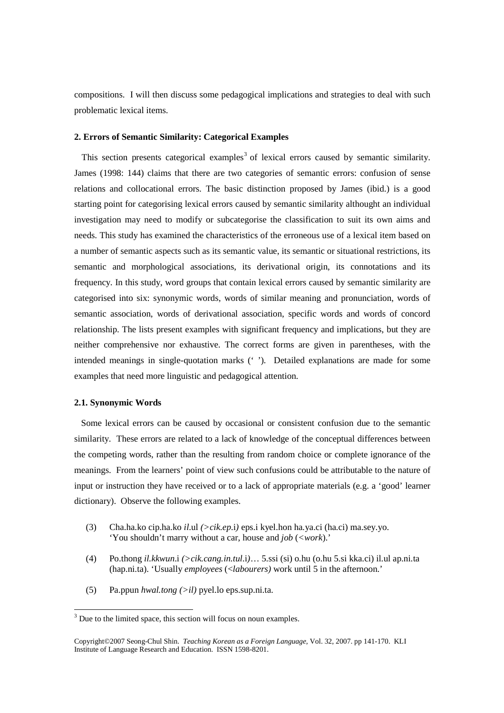compositions. I will then discuss some pedagogical implications and strategies to deal with such problematic lexical items.

## **2. Errors of Semantic Similarity: Categorical Examples**

This section presents categorical examples<sup>3</sup> of lexical errors caused by semantic similarity. James (1998: 144) claims that there are two categories of semantic errors: confusion of sense relations and collocational errors. The basic distinction proposed by James (ibid.) is a good starting point for categorising lexical errors caused by semantic similarity althought an individual investigation may need to modify or subcategorise the classification to suit its own aims and needs. This study has examined the characteristics of the erroneous use of a lexical item based on a number of semantic aspects such as its semantic value, its semantic or situational restrictions, its semantic and morphological associations, its derivational origin, its connotations and its frequency. In this study, word groups that contain lexical errors caused by semantic similarity are categorised into six: synonymic words, words of similar meaning and pronunciation, words of semantic association, words of derivational association, specific words and words of concord relationship. The lists present examples with significant frequency and implications, but they are neither comprehensive nor exhaustive. The correct forms are given in parentheses, with the intended meanings in single-quotation marks (' '). Detailed explanations are made for some examples that need more linguistic and pedagogical attention.

## **2.1. Synonymic Words**

 Some lexical errors can be caused by occasional or consistent confusion due to the semantic similarity. These errors are related to a lack of knowledge of the conceptual differences between the competing words, rather than the resulting from random choice or complete ignorance of the meanings. From the learners' point of view such confusions could be attributable to the nature of input or instruction they have received or to a lack of appropriate materials (e.g. a 'good' learner dictionary). Observe the following examples.

- (3) Cha.ha.ko cip.ha.ko *il*.ul *(>cik.ep*.i*)* eps.i kyel.hon ha.ya.ci (ha.ci) ma.sey.yo. 'You shouldn't marry without a car, house and *job* (*<work*).'
- (4) Po.thong *il.kkwun*.i *(>cik.cang.in.tul*.i*)*… 5.ssi (si) o.hu (o.hu 5.si kka.ci) il.ul ap.ni.ta (hap.ni.ta). 'Usually *employees* (<*labourers)* work until 5 in the afternoon.'
- (5) Pa.ppun *hwal.tong (>il)* pyel.lo eps.sup.ni.ta.

<sup>&</sup>lt;sup>3</sup> Due to the limited space, this section will focus on noun examples.

Copyright©2007 Seong-Chul Shin. *Teaching Korean as a Foreign Language*, Vol. 32, 2007. pp 141-170. KLI Institute of Language Research and Education. ISSN 1598-8201.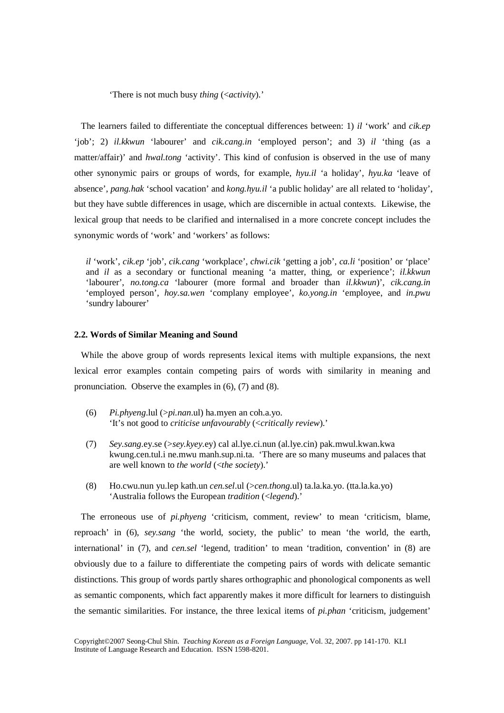'There is not much busy *thing* (<*activity*).'

 The learners failed to differentiate the conceptual differences between: 1) *il* 'work' and *cik.ep* 'job'; 2) *il.kkwun* 'labourer' and *cik.cang.in* 'employed person'; and 3) *il* 'thing (as a matter/affair)' and *hwal.tong* 'activity'. This kind of confusion is observed in the use of many other synonymic pairs or groups of words, for example, *hyu.il* 'a holiday', *hyu.ka* 'leave of absence', *pang.hak* 'school vacation' and *kong.hyu.il* 'a public holiday' are all related to 'holiday', but they have subtle differences in usage, which are discernible in actual contexts. Likewise, the lexical group that needs to be clarified and internalised in a more concrete concept includes the synonymic words of 'work' and 'workers' as follows:

*il* 'work', *cik.ep* 'job', *cik.cang* 'workplace', *chwi.cik* 'getting a job', *ca.li* 'position' or 'place' and *il* as a secondary or functional meaning 'a matter, thing, or experience'; *il.kkwun* 'labourer', *no.tong.ca* 'labourer (more formal and broader than *il.kkwun*)', *cik.cang.in*  'employed person', *hoy.sa.wen* 'complany employee', *ko.yong.in* 'employee, and *in.pwu* 'sundry labourer'

#### **2.2. Words of Similar Meaning and Sound**

 While the above group of words represents lexical items with multiple expansions, the next lexical error examples contain competing pairs of words with similarity in meaning and pronunciation. Observe the examples in (6), (7) and (8).

- (6) *Pi.phyeng*.lul (>*pi.nan*.ul) ha.myen an coh.a.yo. 'It's not good to *criticise unfavourably* (<*critically review*).'
- (7) *Sey.sang*.ey.se (>*sey.kyey*.ey) cal al.lye.ci.nun (al.lye.cin) pak.mwul.kwan.kwa kwung.cen.tul.i ne.mwu manh.sup.ni.ta. 'There are so many museums and palaces that are well known to *the world* (<*the society*).'
- (8) Ho.cwu.nun yu.lep kath.un *cen.sel*.ul (>*cen.thong*.ul) ta.la.ka.yo. (tta.la.ka.yo) 'Australia follows the European *tradition* (<*legend*).'

 The erroneous use of *pi.phyeng* 'criticism, comment, review' to mean 'criticism, blame, reproach' in (6), *sey.sang* 'the world, society, the public' to mean 'the world, the earth, international' in (7), and *cen.sel* 'legend, tradition' to mean 'tradition, convention' in (8) are obviously due to a failure to differentiate the competing pairs of words with delicate semantic distinctions. This group of words partly shares orthographic and phonological components as well as semantic components, which fact apparently makes it more difficult for learners to distinguish the semantic similarities. For instance, the three lexical items of *pi.phan* 'criticism, judgement'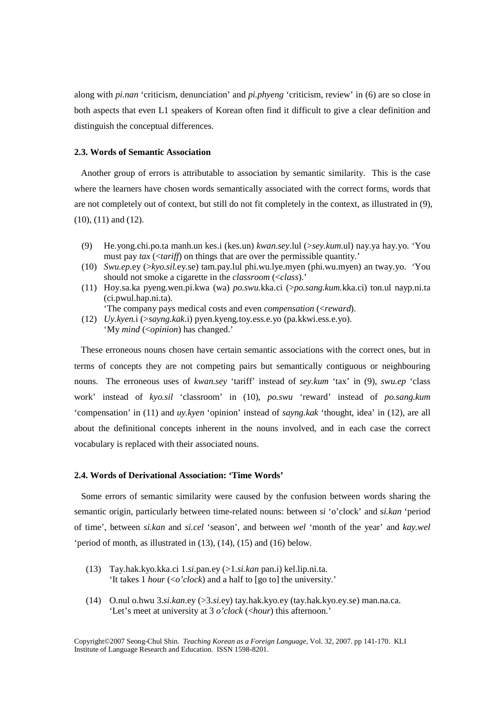along with *pi.nan* 'criticism, denunciation' and *pi.phyeng* 'criticism, review' in (6) are so close in both aspects that even L1 speakers of Korean often find it difficult to give a clear definition and distinguish the conceptual differences.

## **2.3. Words of Semantic Association**

 Another group of errors is attributable to association by semantic similarity. This is the case where the learners have chosen words semantically associated with the correct forms, words that are not completely out of context, but still do not fit completely in the context, as illustrated in (9), (10), (11) and (12).

- (9) He.yong.chi.po.ta manh.un kes.i (kes.un) *kwan.sey*.lul (>*sey.kum*.ul) nay.ya hay.yo. 'You must pay *tax* (<*tariff*) on things that are over the permissible quantity.'
- (10) *Swu.ep*.ey (>*kyo.sil.*ey.se) tam.pay.lul phi.wu.lye.myen (phi.wu.myen) an tway.yo. 'You should not smoke a cigarette in the *classroom* (<*class*).'
- (11) Hoy.sa.ka pyeng.wen.pi.kwa (wa) *po.swu.*kka.ci (>*po.sang.kum.*kka.ci) ton.ul nayp.ni.ta (ci.pwul.hap.ni.ta).

'The company pays medical costs and even *compensation* (<*reward*).

(12) *Uy.kyen.*i (>*sayng.kak*.i) pyen.kyeng.toy.ess.e.yo (pa.kkwi.ess.e.yo). 'My *mind* (<*opinion*) has changed.'

 These erroneous nouns chosen have certain semantic associations with the correct ones, but in terms of concepts they are not competing pairs but semantically contiguous or neighbouring nouns. The erroneous uses of *kwan.sey* 'tariff' instead of *sey.kum* 'tax' in (9), *swu.ep* 'class work' instead of *kyo.sil* 'classroom' in (10), *po.swu* 'reward' instead of *po.sang.kum* 'compensation' in (11) and *uy.kyen* 'opinion' instead of *sayng.kak* 'thought, idea' in (12), are all about the definitional concepts inherent in the nouns involved, and in each case the correct vocabulary is replaced with their associated nouns.

#### **2.4. Words of Derivational Association: 'Time Words'**

 Some errors of semantic similarity were caused by the confusion between words sharing the semantic origin, particularly between time-related nouns: between *si* 'o'clock' and s*i.kan* 'period of time', between *si.kan* and *si.cel* 'season', and between *wel* 'month of the year' and *kay.wel* 'period of month, as illustrated in (13), (14), (15) and (16) below.

- (13) Tay.hak.kyo.kka.ci 1.*si*.pan.ey (>1.*si.kan* pan.i) kel.lip.ni.ta. 'It takes 1 *hour* (<*o'clock*) and a half to [go to] the university.'
- (14) O.nul o.hwu 3.*si.kan*.ey (>3.*si*.ey) tay.hak.kyo.ey (tay.hak.kyo.ey.se) man.na.ca. 'Let's meet at university at 3 *o'clock* (<*hour*) this afternoon.'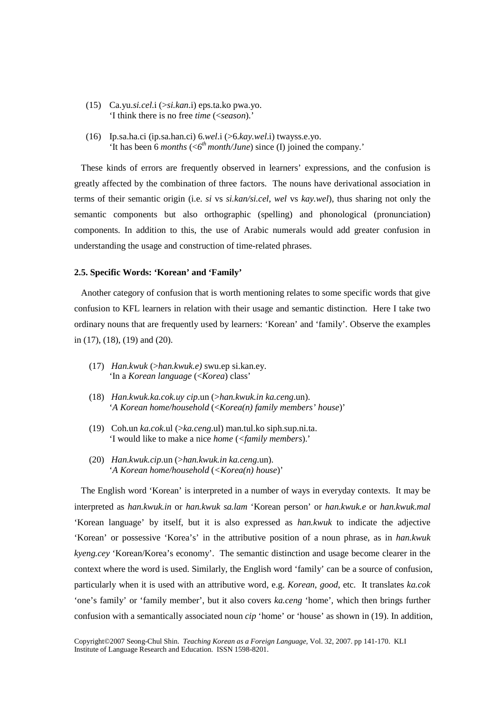- (15) Ca.yu.*si.cel*.i (>*si.kan*.i) eps.ta.ko pwa.yo. 'I think there is no free *time* (<*season*).'
- (16) Ip.sa.ha.ci (ip.sa.han.ci) 6.*wel*.i (>6.*kay.wel*.i) twayss.e.yo. 'It has been 6 *months* ( $6<sup>th</sup>$  *month/June*) since (I) joined the company.'

 These kinds of errors are frequently observed in learners' expressions, and the confusion is greatly affected by the combination of three factors. The nouns have derivational association in terms of their semantic origin (i.e. *si* vs *si.kan/si.cel*, *wel* vs *kay.wel*), thus sharing not only the semantic components but also orthographic (spelling) and phonological (pronunciation) components. In addition to this, the use of Arabic numerals would add greater confusion in understanding the usage and construction of time-related phrases.

#### **2.5. Specific Words: 'Korean' and 'Family'**

 Another category of confusion that is worth mentioning relates to some specific words that give confusion to KFL learners in relation with their usage and semantic distinction. Here I take two ordinary nouns that are frequently used by learners: 'Korean' and 'family'. Observe the examples in (17), (18), (19) and (20).

- (17) *Han.kwuk* (>*han.kwuk.e)* swu.ep si.kan.ey. 'In a *Korean language* (<*Korea*) class'
- (18) *Han.kwuk.ka.cok.uy cip*.un (>*han.kwuk.in ka.ceng*.un). '*A Korean home/household* (<*Korea(n) family members' house*)'
- (19) Coh.un *ka.cok*.ul (>*ka.ceng*.ul) man.tul.ko siph.sup.ni.ta. 'I would like to make a nice *home* (*<family members*).'
- (20) *Han.kwuk.cip*.un (>*han.kwuk.in ka.ceng*.un). '*A Korean home/household* (*<Korea(n) house*)'

 The English word 'Korean' is interpreted in a number of ways in everyday contexts. It may be interpreted as *han.kwuk.in* or *han.kwuk sa.lam* 'Korean person' or *han.kwuk.e* or *han.kwuk.mal* 'Korean language' by itself, but it is also expressed as *han.kwuk* to indicate the adjective 'Korean' or possessive 'Korea's' in the attributive position of a noun phrase, as in *han.kwuk kyeng.cey* 'Korean/Korea's economy'. The semantic distinction and usage become clearer in the context where the word is used. Similarly, the English word 'family' can be a source of confusion, particularly when it is used with an attributive word, e.g. *Korean*, *good*, etc. It translates *ka.cok* 'one's family' or 'family member', but it also covers *ka.ceng* 'home', which then brings further confusion with a semantically associated noun *cip* 'home' or 'house' as shown in (19). In addition,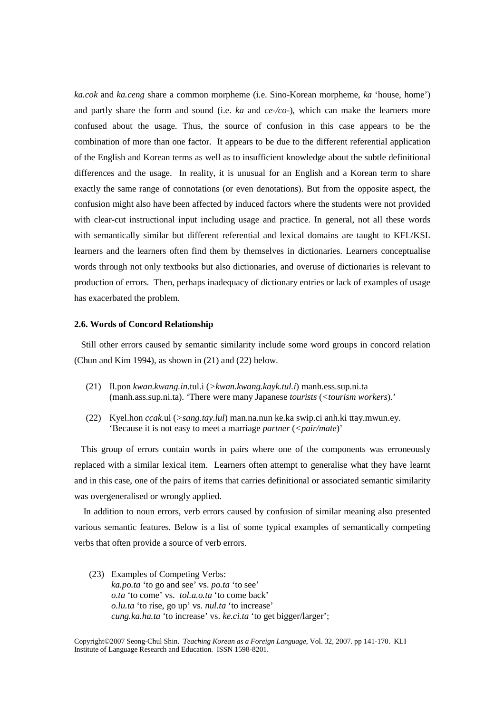*ka.cok* and *ka.ceng* share a common morpheme (i.e. Sino-Korean morpheme, *ka* 'house, home') and partly share the form and sound (i.e. *ka* and *ce-/co-*), which can make the learners more confused about the usage. Thus, the source of confusion in this case appears to be the combination of more than one factor. It appears to be due to the different referential application of the English and Korean terms as well as to insufficient knowledge about the subtle definitional differences and the usage. In reality, it is unusual for an English and a Korean term to share exactly the same range of connotations (or even denotations). But from the opposite aspect, the confusion might also have been affected by induced factors where the students were not provided with clear-cut instructional input including usage and practice. In general, not all these words with semantically similar but different referential and lexical domains are taught to KFL/KSL learners and the learners often find them by themselves in dictionaries. Learners conceptualise words through not only textbooks but also dictionaries, and overuse of dictionaries is relevant to production of errors. Then, perhaps inadequacy of dictionary entries or lack of examples of usage has exacerbated the problem.

#### **2.6. Words of Concord Relationship**

 Still other errors caused by semantic similarity include some word groups in concord relation (Chun and Kim 1994), as shown in (21) and (22) below.

- (21) Il.pon *kwan.kwang.in*.tul.i (*>kwan.kwang.kayk.tul.i*) manh.ess.sup.ni.ta (manh.ass.sup.ni.ta). 'There were many Japanese *tourists* (*<tourism workers*)*.*'
- (22) Kyel.hon *ccak*.ul (*>sang.tay.lul*) man.na.nun ke.ka swip.ci anh.ki ttay.mwun.ey. 'Because it is not easy to meet a marriage *partner* (*<pair/mate*)'

 This group of errors contain words in pairs where one of the components was erroneously replaced with a similar lexical item. Learners often attempt to generalise what they have learnt and in this case, one of the pairs of items that carries definitional or associated semantic similarity was overgeneralised or wrongly applied.

 In addition to noun errors, verb errors caused by confusion of similar meaning also presented various semantic features. Below is a list of some typical examples of semantically competing verbs that often provide a source of verb errors.

(23) Examples of Competing Verbs: *ka.po.ta* 'to go and see' vs. *po.ta* 'to see'  *o.ta* 'to come' vs. *tol.a.o.ta* 'to come back' *o.lu.ta* 'to rise, go up' vs. *nul.ta* 'to increase' *cung.ka.ha.ta* 'to increase' vs. *ke.ci.ta* 'to get bigger/larger';

Copyright©2007 Seong-Chul Shin. *Teaching Korean as a Foreign Language*, Vol. 32, 2007. pp 141-170. KLI Institute of Language Research and Education. ISSN 1598-8201.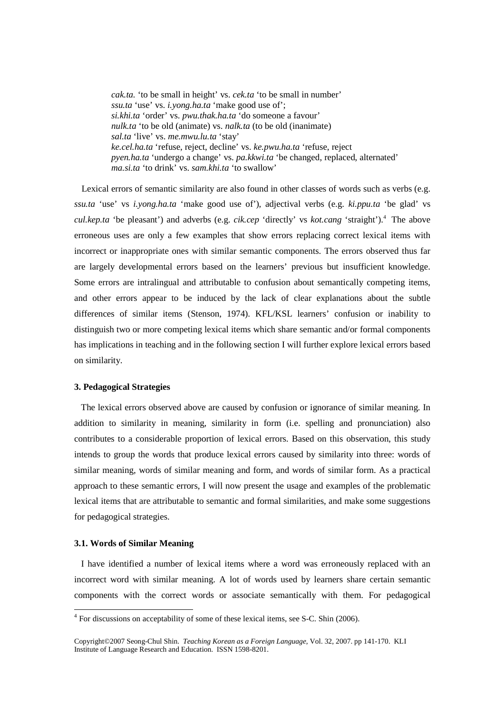*cak.ta.* 'to be small in height' vs. *cek.ta* 'to be small in number' *ssu.ta* 'use' vs. *i.yong.ha.ta* 'make good use of';  *si.khi.ta* 'order' vs. *pwu.thak.ha.ta* 'do someone a favour'  *nulk.ta* 'to be old (animate) vs. *nalk.ta* (to be old (inanimate)  *sal.ta* 'live' vs. *me.mwu.lu.ta* 'stay'  *ke.cel.ha.ta* 'refuse, reject, decline' vs. *ke.pwu.ha.ta* 'refuse, reject  *pyen.ha.ta* 'undergo a change' vs. *pa.kkwi.ta* 'be changed, replaced, alternated'  *ma.si.ta* 'to drink' vs. *sam.khi.ta* 'to swallow'

Lexical errors of semantic similarity are also found in other classes of words such as verbs (e.g. *ssu.ta* 'use' vs *i.yong.ha.ta* 'make good use of'), adjectival verbs (e.g. *ki.ppu.ta* 'be glad' vs *cul.kep.ta* 'be pleasant') and adverbs (e.g. *cik.cep* 'directly' vs *kot.cang* 'straight').<sup>4</sup> The above erroneous uses are only a few examples that show errors replacing correct lexical items with incorrect or inappropriate ones with similar semantic components. The errors observed thus far are largely developmental errors based on the learners' previous but insufficient knowledge. Some errors are intralingual and attributable to confusion about semantically competing items, and other errors appear to be induced by the lack of clear explanations about the subtle differences of similar items (Stenson, 1974). KFL/KSL learners' confusion or inability to distinguish two or more competing lexical items which share semantic and/or formal components has implications in teaching and in the following section I will further explore lexical errors based on similarity.

### **3. Pedagogical Strategies**

 The lexical errors observed above are caused by confusion or ignorance of similar meaning. In addition to similarity in meaning, similarity in form (i.e. spelling and pronunciation) also contributes to a considerable proportion of lexical errors. Based on this observation, this study intends to group the words that produce lexical errors caused by similarity into three: words of similar meaning, words of similar meaning and form, and words of similar form. As a practical approach to these semantic errors, I will now present the usage and examples of the problematic lexical items that are attributable to semantic and formal similarities, and make some suggestions for pedagogical strategies.

#### **3.1. Words of Similar Meaning**

-

 I have identified a number of lexical items where a word was erroneously replaced with an incorrect word with similar meaning. A lot of words used by learners share certain semantic components with the correct words or associate semantically with them. For pedagogical

<sup>&</sup>lt;sup>4</sup> For discussions on acceptability of some of these lexical items, see S-C. Shin (2006).

Copyright©2007 Seong-Chul Shin. *Teaching Korean as a Foreign Language*, Vol. 32, 2007. pp 141-170. KLI Institute of Language Research and Education. ISSN 1598-8201.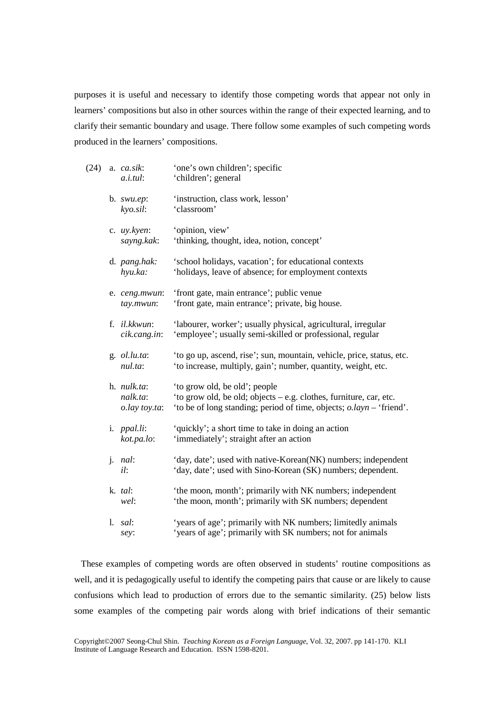purposes it is useful and necessary to identify those competing words that appear not only in learners' compositions but also in other sources within the range of their expected learning, and to clarify their semantic boundary and usage. There follow some examples of such competing words produced in the learners' compositions.

| (24) | a. ca.sik:<br>a.i.tul:                           | 'one's own children'; specific<br>'children'; general                                                                                                                       |
|------|--------------------------------------------------|-----------------------------------------------------------------------------------------------------------------------------------------------------------------------------|
|      | b. $swu.ep$ :<br>$kyo.$ sil:                     | 'instruction, class work, lesson'<br>'classroom'                                                                                                                            |
|      | c. uy.kyen:<br>sayng.kak:                        | 'opinion, view'<br>'thinking, thought, idea, notion, concept'                                                                                                               |
|      | d. pang.hak:<br>hyu.ka:                          | 'school holidays, vacation'; for educational contexts<br>'holidays, leave of absence; for employment contexts                                                               |
|      | e. ceng.mwun:<br>tay.mwun:                       | 'front gate, main entrance'; public venue<br>'front gate, main entrance'; private, big house.                                                                               |
|      | f. il.kkwun:<br>cik.cang.in:                     | 'labourer, worker'; usually physical, agricultural, irregular<br>'employee'; usually semi-skilled or professional, regular                                                  |
|      | g. ol.lu.ta:<br>nul.ta:                          | 'to go up, ascend, rise'; sun, mountain, vehicle, price, status, etc.<br>'to increase, multiply, gain'; number, quantity, weight, etc.                                      |
|      | h. <i>nulk.ta</i> :<br>nalk.ta:<br>o.lay toy.ta: | 'to grow old, be old'; people<br>'to grow old, be old; objects – e.g. clothes, furniture, car, etc.<br>'to be of long standing; period of time, objects; o.layn – 'friend'. |
|      | i. <i>ppal.li</i> :<br>kot.pa.lo:                | 'quickly'; a short time to take in doing an action<br>'immediately'; straight after an action                                                                               |
|      | $j.$ nal:<br>il:                                 | 'day, date'; used with native-Korean(NK) numbers; independent<br>'day, date'; used with Sino-Korean (SK) numbers; dependent.                                                |
|      | k. tal:<br>wel:                                  | 'the moon, month'; primarily with NK numbers; independent<br>'the moon, month'; primarily with SK numbers; dependent                                                        |
|      | l. sal:<br>sey:                                  | 'years of age'; primarily with NK numbers; limitedly animals<br>'years of age'; primarily with SK numbers; not for animals                                                  |

 These examples of competing words are often observed in students' routine compositions as well, and it is pedagogically useful to identify the competing pairs that cause or are likely to cause confusions which lead to production of errors due to the semantic similarity. (25) below lists some examples of the competing pair words along with brief indications of their semantic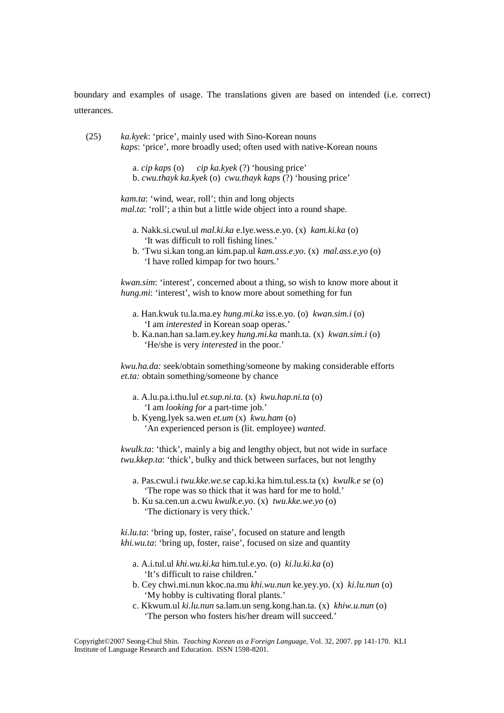boundary and examples of usage. The translations given are based on intended (i.e. correct) utterances.

| (25) | <i>ka.kyek:</i> 'price', mainly used with Sino-Korean nouns                  |
|------|------------------------------------------------------------------------------|
|      | <i>kaps:</i> 'price', more broadly used; often used with native-Korean nouns |

 a. *cip kaps* (o) *cip ka.kyek* (?) 'housing price' b. *cwu.thayk ka.kyek* (o) *cwu.thayk kaps* (?) 'housing price'

*kam.ta*: 'wind, wear, roll'; thin and long objects *mal.ta*: 'roll'; a thin but a little wide object into a round shape.

- a. Nakk.si.cwul.ul *mal.ki.ka* e.lye.wess.e.yo. (x) *kam.ki.ka* (o) 'It was difficult to roll fishing lines.'
- b. 'Twu si.kan tong.an kim.pap.ul *kam.ass.e*.*yo*. (x) *mal.ass.e.yo* (o) 'I have rolled kimpap for two hours.'

*kwan.sim*: 'interest', concerned about a thing, so wish to know more about it *hung.mi:* 'interest', wish to know more about something for fun

- a. Han.kwuk tu.la.ma.ey *hung.mi.ka* iss.e.yo. (o) *kwan.sim.i* (o) 'I am *interested* in Korean soap operas.'
- b. Ka.nan.han sa.lam.ey.key *hung.mi.ka* manh.ta. (x) *kwan.sim.i* (o) 'He/she is very *interested* in the poor.'

*kwu.ha.da:* seek/obtain something/someone by making considerable efforts *et.ta:* obtain something/someone by chance

- a. A.lu.pa.i.thu.lul *et.sup.ni.ta*. (x) *kwu.hap.ni.ta* (o) 'I am *looking for* a part-time job.'
- b. Kyeng.lyek sa.wen *et.um* (x) *kwu.ham* (o) 'An experienced person is (lit. employee) *wanted*.

*kwulk.ta*: 'thick', mainly a big and lengthy object, but not wide in surface *twu.kkep.ta*: 'thick', bulky and thick between surfaces, but not lengthy

- a. Pas.cwul.i *twu.kke.we.se* cap.ki.ka him.tul.ess.ta (x) *kwulk.e se* (o) 'The rope was so thick that it was hard for me to hold.'
- b. Ku sa.cen.un a.cwu *kwulk.e.yo*. (x) *twu.kke.we.yo* (o) 'The dictionary is very thick.'

*ki.lu.ta*: 'bring up, foster, raise', focused on stature and length *khi.wu.ta*: 'bring up, foster, raise', focused on size and quantity

- a. A.i.tul.ul *khi.wu.ki.ka* him.tul.e.yo. (o) *ki.lu.ki.ka* (o) 'It's difficult to raise children.'
- b. Cey chwi.mi.nun kkoc.na.mu *khi.wu.nun* ke.yey.yo. (x) *ki.lu.nun* (o) 'My hobby is cultivating floral plants.'
- c. Kkwum.ul *ki.lu.nun* sa.lam.un seng.kong.han.ta. (x) *khiw.u.nun* (o) 'The person who fosters his/her dream will succeed.'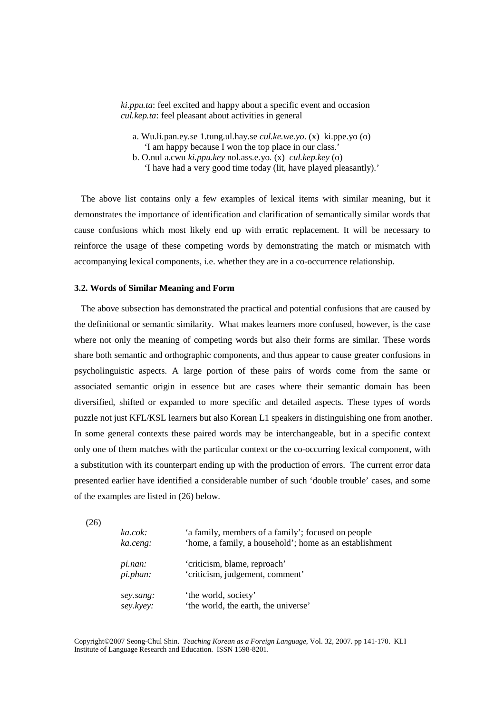*ki.ppu.ta*: feel excited and happy about a specific event and occasion *cul.kep.ta*: feel pleasant about activities in general

- a. Wu.li.pan.ey.se 1.tung.ul.hay.se *cul.ke.we.yo*. (x) ki.ppe.yo (o) 'I am happy because I won the top place in our class.'
- b. O.nul a.cwu *ki.ppu.key* nol.ass.e.yo. (x) *cul.kep.key* (o) 'I have had a very good time today (lit, have played pleasantly).'

 The above list contains only a few examples of lexical items with similar meaning, but it demonstrates the importance of identification and clarification of semantically similar words that cause confusions which most likely end up with erratic replacement. It will be necessary to reinforce the usage of these competing words by demonstrating the match or mismatch with accompanying lexical components, i.e. whether they are in a co-occurrence relationship.

#### **3.2. Words of Similar Meaning and Form**

 The above subsection has demonstrated the practical and potential confusions that are caused by the definitional or semantic similarity. What makes learners more confused, however, is the case where not only the meaning of competing words but also their forms are similar. These words share both semantic and orthographic components, and thus appear to cause greater confusions in psycholinguistic aspects. A large portion of these pairs of words come from the same or associated semantic origin in essence but are cases where their semantic domain has been diversified, shifted or expanded to more specific and detailed aspects. These types of words puzzle not just KFL/KSL learners but also Korean L1 speakers in distinguishing one from another. In some general contexts these paired words may be interchangeable, but in a specific context only one of them matches with the particular context or the co-occurring lexical component, with a substitution with its counterpart ending up with the production of errors. The current error data presented earlier have identified a considerable number of such 'double trouble' cases, and some of the examples are listed in (26) below.

(26)

| ka.cok:<br>ka.ceng:    | 'a family, members of a family'; focused on people<br>'home, a family, a household'; home as an establishment |  |
|------------------------|---------------------------------------------------------------------------------------------------------------|--|
| pi.nan:<br>pi.phan:    | 'criticism, blame, reproach'<br>'criticism, judgement, comment'                                               |  |
| sey.sang:<br>sey.kyey: | 'the world, society'<br>'the world, the earth, the universe'                                                  |  |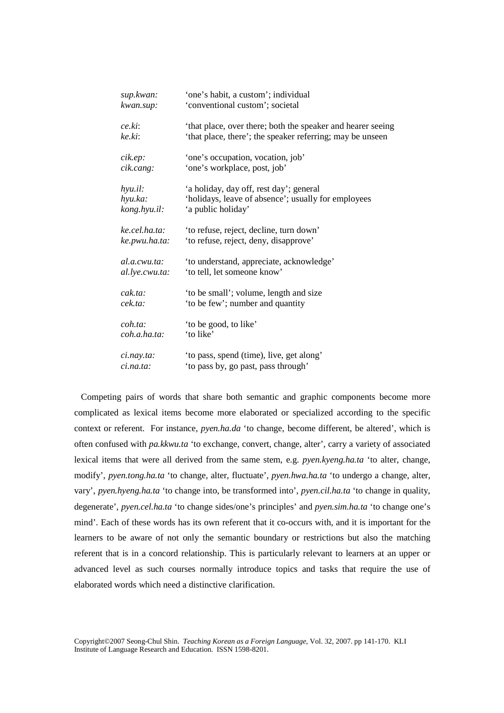| sup.kwan:             | 'one's habit, a custom'; individual                         |
|-----------------------|-------------------------------------------------------------|
| kwan.sup:             | 'conventional custom'; societal                             |
| ce.ki:                | 'that place, over there; both the speaker and hearer seeing |
| ke.ki:                | 'that place, there'; the speaker referring; may be unseen   |
| cik.ep:               | 'one's occupation, vocation, job'                           |
| cik.cang:             | 'one's workplace, post, job'                                |
| hyu.il:               | 'a holiday, day off, rest day'; general                     |
| hyu.ka:               | 'holidays, leave of absence'; usually for employees         |
| kong.hyu.il:          | 'a public holiday'                                          |
| ke.cel.ha.ta:         | 'to refuse, reject, decline, turn down'                     |
| ke.pwu.ha.ta:         | 'to refuse, reject, deny, disapprove'                       |
| al.a.cwu.ta:          | 'to understand, appreciate, acknowledge'                    |
| al.lye.cwu.ta:        | 'to tell, let someone know'                                 |
| cak.ta.               | 'to be small'; volume, length and size                      |
| cek.ta:               | 'to be few'; number and quantity                            |
| coh.ta:               | 'to be good, to like'                                       |
| coh.a.ha.ta.          | 'to like'                                                   |
| $c$ <i>i.nay.ta</i> : | 'to pass, spend (time), live, get along'                    |
| ci.na.ta:             | 'to pass by, go past, pass through'                         |

 Competing pairs of words that share both semantic and graphic components become more complicated as lexical items become more elaborated or specialized according to the specific context or referent. For instance, *pyen.ha.da* 'to change, become different, be altered', which is often confused with *pa.kkwu.ta* 'to exchange, convert, change, alter', carry a variety of associated lexical items that were all derived from the same stem, e.g. *pyen.kyeng.ha.ta* 'to alter, change, modify', *pyen.tong.ha.ta* 'to change, alter, fluctuate', *pyen.hwa.ha.ta* 'to undergo a change, alter, vary', *pyen.hyeng.ha.ta* 'to change into, be transformed into', *pyen.cil.ha.ta* 'to change in quality, degenerate', *pyen.cel.ha.ta* 'to change sides/one's principles' and *pyen.sim.ha.ta* 'to change one's mind'. Each of these words has its own referent that it co-occurs with, and it is important for the learners to be aware of not only the semantic boundary or restrictions but also the matching referent that is in a concord relationship. This is particularly relevant to learners at an upper or advanced level as such courses normally introduce topics and tasks that require the use of elaborated words which need a distinctive clarification.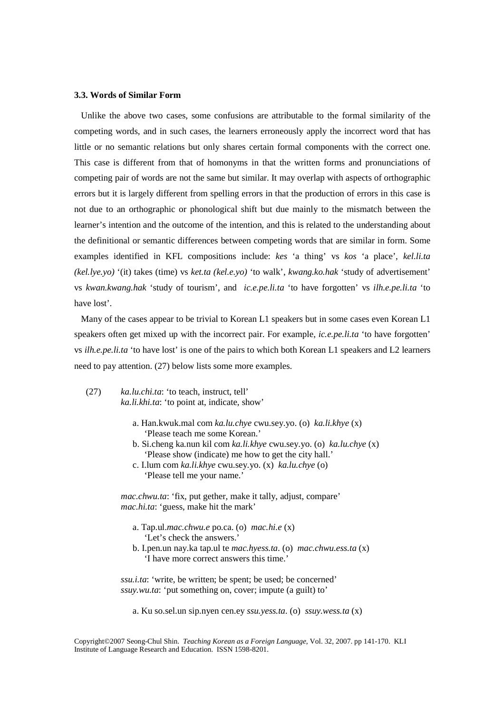#### **3.3. Words of Similar Form**

 Unlike the above two cases, some confusions are attributable to the formal similarity of the competing words, and in such cases, the learners erroneously apply the incorrect word that has little or no semantic relations but only shares certain formal components with the correct one. This case is different from that of homonyms in that the written forms and pronunciations of competing pair of words are not the same but similar. It may overlap with aspects of orthographic errors but it is largely different from spelling errors in that the production of errors in this case is not due to an orthographic or phonological shift but due mainly to the mismatch between the learner's intention and the outcome of the intention, and this is related to the understanding about the definitional or semantic differences between competing words that are similar in form. Some examples identified in KFL compositions include: *kes* 'a thing' vs *kos* 'a place', *kel.li.ta (kel.lye.yo)* '(it) takes (time) vs *ket.ta (kel.e.yo)* 'to walk', *kwang.ko.hak* 'study of advertisement' vs *kwan.kwang.hak* 'study of tourism', and *ic.e.pe.li.ta* 'to have forgotten' vs *ilh.e.pe.li.ta* 'to have lost'.

 Many of the cases appear to be trivial to Korean L1 speakers but in some cases even Korean L1 speakers often get mixed up with the incorrect pair. For example, *ic.e.pe.li.ta* 'to have forgotten' vs *ilh.e.pe.li.ta* 'to have lost' is one of the pairs to which both Korean L1 speakers and L2 learners need to pay attention. (27) below lists some more examples.

- (27) *ka.lu.chi.ta*: 'to teach, instruct, tell' *ka.li.khi.ta*: 'to point at, indicate, show'
	- a. Han.kwuk.mal com *ka.lu.chye* cwu.sey.yo. (o) *ka.li.khye* (x) 'Please teach me some Korean.'
	- b. Si.cheng ka.nun kil com *ka.li.khye* cwu.sey.yo. (o) *ka.lu.chye* (x) 'Please show (indicate) me how to get the city hall.'
	- c. I.lum com *ka.li.khye* cwu.sey.yo. (x) *ka.lu.chye* (o) 'Please tell me your name.'

*mac.chwu.ta*: 'fix, put gether, make it tally, adjust, compare' *mac.hi.ta*: 'guess, make hit the mark'

- a. Tap.ul.*mac.chwu.e* po.ca. (o) *mac.hi.e* (x) 'Let's check the answers.'
- b. I.pen.un nay.ka tap.ul te *mac.hyess.ta*. (o) *mac.chwu.ess.ta* (x) 'I have more correct answers this time.'

 *ssu.i.ta*: 'write, be written; be spent; be used; be concerned' *ssuy.wu.ta*: 'put something on, cover; impute (a guilt) to'

a. Ku so.sel.un sip.nyen cen.ey *ssu.yess.ta*. (o) *ssuy.wess.ta* (x)

Copyright©2007 Seong-Chul Shin. *Teaching Korean as a Foreign Language*, Vol. 32, 2007. pp 141-170. KLI Institute of Language Research and Education. ISSN 1598-8201.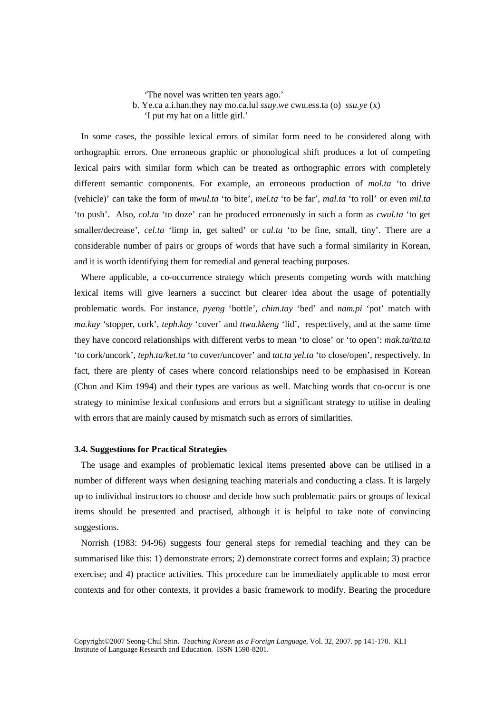'The novel was written ten years ago.'

b. Ye.ca a.i.han.they nay mo.ca.lul *ssuy.we* cwu.ess.ta (o) *ssu.ye* (x)

'I put my hat on a little girl.'

 In some cases, the possible lexical errors of similar form need to be considered along with orthographic errors. One erroneous graphic or phonological shift produces a lot of competing lexical pairs with similar form which can be treated as orthographic errors with completely different semantic components. For example, an erroneous production of *mol.ta* 'to drive (vehicle)' can take the form of *mwul.ta* 'to bite', *mel.ta* 'to be far', *mal.ta* 'to roll' or even *mil.ta* 'to push'. Also, *col.ta* 'to doze' can be produced erroneously in such a form as *cwul.ta* 'to get smaller/decrease', *cel.ta* 'limp in, get salted' or *cal.ta* 'to be fine, small, tiny'. There are a considerable number of pairs or groups of words that have such a formal similarity in Korean, and it is worth identifying them for remedial and general teaching purposes.

 Where applicable, a co-occurrence strategy which presents competing words with matching lexical items will give learners a succinct but clearer idea about the usage of potentially problematic words. For instance, *pyeng* 'bottle', *chim.tay* 'bed' and *nam.pi* 'pot' match with *ma.kay* 'stopper, cork', *teph.kay* 'cover' and *ttwu.kkeng* 'lid', respectively, and at the same time they have concord relationships with different verbs to mean 'to close' or 'to open': *mak.ta/tta.ta* 'to cork/uncork', *teph.ta/ket.ta* 'to cover/uncover' and *tat.ta yel.ta* 'to close/open', respectively. In fact, there are plenty of cases where concord relationships need to be emphasised in Korean (Chun and Kim 1994) and their types are various as well. Matching words that co-occur is one strategy to minimise lexical confusions and errors but a significant strategy to utilise in dealing with errors that are mainly caused by mismatch such as errors of similarities.

## **3.4. Suggestions for Practical Strategies**

 The usage and examples of problematic lexical items presented above can be utilised in a number of different ways when designing teaching materials and conducting a class. It is largely up to individual instructors to choose and decide how such problematic pairs or groups of lexical items should be presented and practised, although it is helpful to take note of convincing suggestions.

 Norrish (1983: 94-96) suggests four general steps for remedial teaching and they can be summarised like this: 1) demonstrate errors; 2) demonstrate correct forms and explain; 3) practice exercise; and 4) practice activities. This procedure can be immediately applicable to most error contexts and for other contexts, it provides a basic framework to modify. Bearing the procedure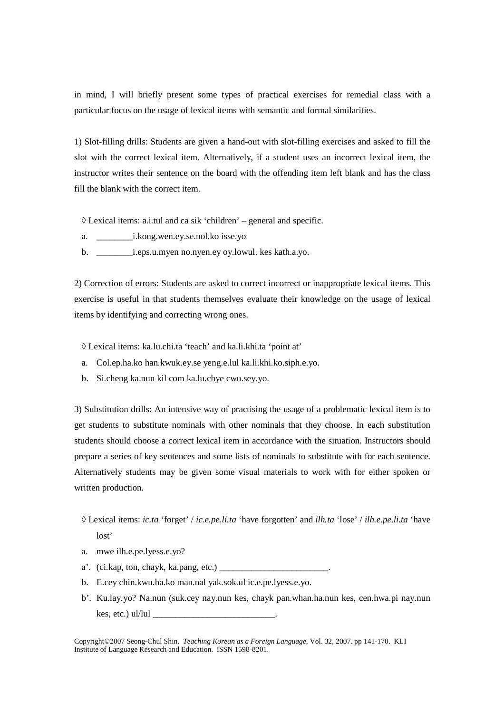in mind, I will briefly present some types of practical exercises for remedial class with a particular focus on the usage of lexical items with semantic and formal similarities.

1) Slot-filling drills: Students are given a hand-out with slot-filling exercises and asked to fill the slot with the correct lexical item. Alternatively, if a student uses an incorrect lexical item, the instructor writes their sentence on the board with the offending item left blank and has the class fill the blank with the correct item.

 $\Diamond$  Lexical items: a.i.tul and ca sik 'children' – general and specific.

- a. \_\_\_\_\_\_\_\_i.kong.wen.ey.se.nol.ko isse.yo
- b. \_\_\_\_\_\_\_\_i.eps.u.myen no.nyen.ey oy.lowul. kes kath.a.yo.

2) Correction of errors: Students are asked to correct incorrect or inappropriate lexical items. This exercise is useful in that students themselves evaluate their knowledge on the usage of lexical items by identifying and correcting wrong ones.

◊ Lexical items: ka.lu.chi.ta 'teach' and ka.li.khi.ta 'point at'

- a. Col.ep.ha.ko han.kwuk.ey.se yeng.e.lul ka.li.khi.ko.siph.e.yo.
- b. Si.cheng ka.nun kil com ka.lu.chye cwu.sey.yo.

3) Substitution drills: An intensive way of practising the usage of a problematic lexical item is to get students to substitute nominals with other nominals that they choose. In each substitution students should choose a correct lexical item in accordance with the situation. Instructors should prepare a series of key sentences and some lists of nominals to substitute with for each sentence. Alternatively students may be given some visual materials to work with for either spoken or written production.

- ◊ Lexical items: *ic.ta* 'forget' / *ic.e.pe.li.ta* 'have forgotten' and *ilh.ta* 'lose' / *ilh.e.pe.li.ta* 'have lost'
- a. mwe ilh.e.pe.lyess.e.yo?
- a'. (ci.kap, ton, chayk, ka.pang, etc.)
- b. E.cey chin.kwu.ha.ko man.nal yak.sok.ul ic.e.pe.lyess.e.yo.
- b'. Ku.lay.yo? Na.nun (suk.cey nay.nun kes, chayk pan.whan.ha.nun kes, cen.hwa.pi nay.nun kes, etc.) ul/lul  $\_\_$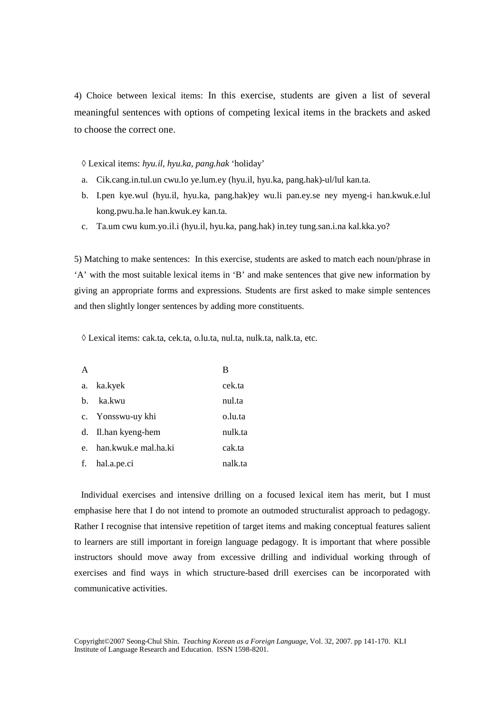4) Choice between lexical items: In this exercise, students are given a list of several meaningful sentences with options of competing lexical items in the brackets and asked to choose the correct one.

#### ◊ Lexical items: *hyu.il, hyu.ka, pang.hak* 'holiday'

- a. Cik.cang.in.tul.un cwu.lo ye.lum.ey (hyu.il, hyu.ka, pang.hak)-ul/lul kan.ta.
- b. I.pen kye.wul (hyu.il, hyu.ka, pang.hak)ey wu.li pan.ey.se ney myeng-i han.kwuk.e.lul kong.pwu.ha.le han.kwuk.ey kan.ta.
- c. Ta.um cwu kum.yo.il.i (hyu.il, hyu.ka, pang.hak) in.tey tung.san.i.na kal.kka.yo?

5) Matching to make sentences: In this exercise, students are asked to match each noun/phrase in 'A' with the most suitable lexical items in 'B' and make sentences that give new information by giving an appropriate forms and expressions. Students are first asked to make simple sentences and then slightly longer sentences by adding more constituents.

◊ Lexical items: cak.ta, cek.ta, o.lu.ta, nul.ta, nulk.ta, nalk.ta, etc.

| A            |                      | В       |
|--------------|----------------------|---------|
| a.           | ka.kyek              | cek.ta  |
| $h_{\cdot}$  | ka.kwu               | nul.ta  |
|              | c. Yonsswu-uy khi    | o.lu.ta |
|              | d. Il.han kyeng-hem  | nulk.ta |
| $e^{\prime}$ | han.kwuk.e mal.ha.ki | cak.ta  |
| f.           | hal.a.pe.ci          | nalk.ta |

 Individual exercises and intensive drilling on a focused lexical item has merit, but I must emphasise here that I do not intend to promote an outmoded structuralist approach to pedagogy. Rather I recognise that intensive repetition of target items and making conceptual features salient to learners are still important in foreign language pedagogy. It is important that where possible instructors should move away from excessive drilling and individual working through of exercises and find ways in which structure-based drill exercises can be incorporated with communicative activities.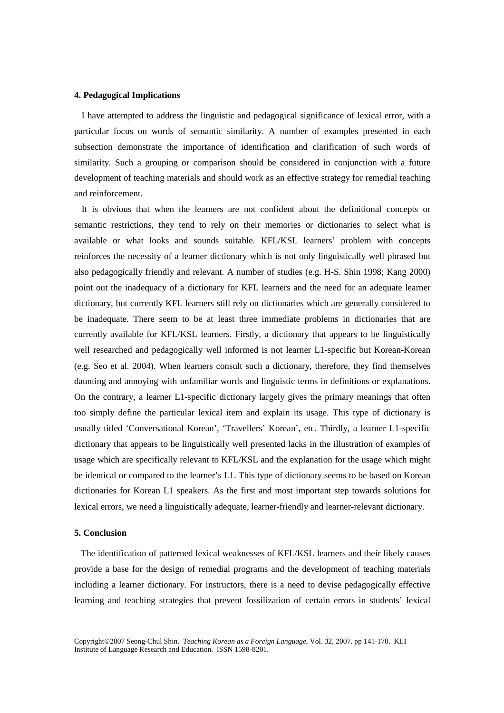#### **4. Pedagogical Implications**

I have attempted to address the linguistic and pedagogical significance of lexical error, with a particular focus on words of semantic similarity. A number of examples presented in each subsection demonstrate the importance of identification and clarification of such words of similarity. Such a grouping or comparison should be considered in conjunction with a future development of teaching materials and should work as an effective strategy for remedial teaching and reinforcement.

It is obvious that when the learners are not confident about the definitional concepts or semantic restrictions, they tend to rely on their memories or dictionaries to select what is available or what looks and sounds suitable. KFL/KSL learners' problem with concepts reinforces the necessity of a learner dictionary which is not only linguistically well phrased but also pedagogically friendly and relevant. A number of studies (e.g. H-S. Shin 1998; Kang 2000) point out the inadequacy of a dictionary for KFL learners and the need for an adequate learner dictionary, but currently KFL learners still rely on dictionaries which are generally considered to be inadequate. There seem to be at least three immediate problems in dictionaries that are currently available for KFL/KSL learners. Firstly, a dictionary that appears to be linguistically well researched and pedagogically well informed is not learner L1-specific but Korean-Korean (e.g. Seo et al. 2004). When learners consult such a dictionary, therefore, they find themselves daunting and annoying with unfamiliar words and linguistic terms in definitions or explanations. On the contrary, a learner L1-specific dictionary largely gives the primary meanings that often too simply define the particular lexical item and explain its usage. This type of dictionary is usually titled 'Conversational Korean', 'Travellers' Korean', etc. Thirdly, a learner L1-specific dictionary that appears to be linguistically well presented lacks in the illustration of examples of usage which are specifically relevant to KFL/KSL and the explanation for the usage which might be identical or compared to the learner's L1. This type of dictionary seems to be based on Korean dictionaries for Korean L1 speakers. As the first and most important step towards solutions for lexical errors, we need a linguistically adequate, learner-friendly and learner-relevant dictionary.

#### **5. Conclusion**

 The identification of patterned lexical weaknesses of KFL/KSL learners and their likely causes provide a base for the design of remedial programs and the development of teaching materials including a learner dictionary. For instructors, there is a need to devise pedagogically effective learning and teaching strategies that prevent fossilization of certain errors in students' lexical